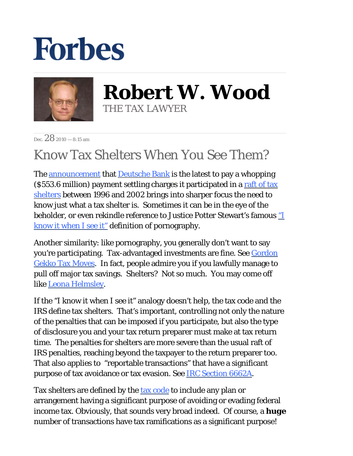## **Forbes**



**Robert W. Wood** THE TAX LAWYER

Dec.  $282010 - 8:15$  am

## Know Tax Shelters When You See Them?

The [announcement](http://www.justice.gov/usao/nys/pressreleases/December10/deutschebankpr.pdf) that [Deutsche Bank](http://amlawdaily.typepad.com/DBNPA.pdf) is the latest to pay a whopping  $($ \$553.6 million) payment settling charges it participated in a raft of tax [shelters](http://blogs.forbes.com/robertwood/2010/12/27/tax-shelters-not-uber-alles/) between 1996 and 2002 brings into sharper focus the need to know just what a tax shelter is. Sometimes it can be in the eye of the beholder, or even rekindle reference to Justice Potter Stewart's famous ["I](http://caselaw.lp.findlaw.com/scripts/getcase.pl?court=us&vol=378&invol=184)  [know it when I see it" d](http://caselaw.lp.findlaw.com/scripts/getcase.pl?court=us&vol=378&invol=184)efinition of pornography.

Another similarity: like pornography, you generally don't want to say you're participating. Tax-advantaged investments are fine. See [Gordon](http://blogs.forbes.com/robertwood/2010/09/20/gordon-gekko-tax-moves/)  [Gekko Tax Moves.](http://blogs.forbes.com/robertwood/2010/09/20/gordon-gekko-tax-moves/) In fact, people admire you if you lawfully manage to pull off major tax savings. Shelters? Not so much. You may come off like [Leona Helmsley.](http://www.nytimes.com/2007/08/21/nyregion/21helmsley.html?_r=1&scp=1&sq=Leona%20Helmsley%20tax%20evasion&st=cse)

If the "I know it when I see it" analogy doesn't help, the tax code and the IRS define tax shelters. That's important, controlling not only the nature of the penalties that can be imposed if you participate, but also the type of disclosure you and your tax return preparer must make at tax return time. The penalties for shelters are more severe than the usual raft of IRS penalties, reaching beyond the taxpayer to the return preparer too. That also applies to "reportable transactions" that have a significant purpose of tax avoidance or tax evasion. See [IRC Section 6662A.](http://www.irs.gov/irb/2005-07_IRB/ar07.html)

Tax shelters are defined by the [tax code](http://www.taxalmanac.org/index.php/Internal_Revenue_Code:Sec._6662._Imposition_of_accuracy-related_penalty_on_underpayments) to include any plan or arrangement having a significant purpose of avoiding or evading federal income tax. Obviously, that sounds very broad indeed. Of course, a *huge* number of transactions have tax ramifications as a significant purpose!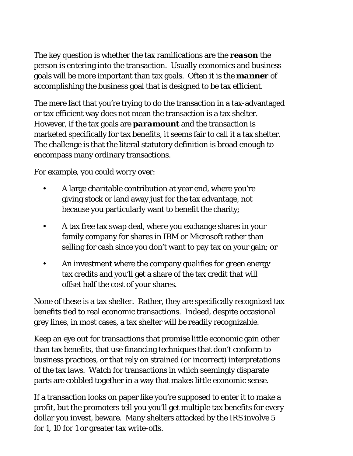The key question is whether the tax ramifications are the *reason* the person is entering into the transaction. Usually economics and business goals will be more important than tax goals. Often it is the *manner* of accomplishing the business goal that is designed to be tax efficient.

The mere fact that you're trying to do the transaction in a tax-advantaged or tax efficient way does not mean the transaction is a tax shelter. However, if the tax goals are *paramount* and the transaction is marketed specifically for tax benefits, it seems fair to call it a tax shelter. The challenge is that the literal statutory definition is broad enough to encompass many ordinary transactions.

For example, you could worry over:

- A large charitable contribution at year end, where you're giving stock or land away just for the tax advantage, not because you particularly want to benefit the charity; •
- A tax free tax swap deal, where you exchange shares in your family company for shares in IBM or Microsoft rather than selling for cash since you don't want to pay tax on your gain; or •
- An investment where the company qualifies for green energy tax credits and you'll get a share of the tax credit that will offset half the cost of your shares. •

None of these is a tax shelter. Rather, they are specifically recognized tax benefits tied to real economic transactions. Indeed, despite occasional grey lines, in most cases, a tax shelter will be readily recognizable.

Keep an eye out for transactions that promise little economic gain other than tax benefits, that use financing techniques that don't conform to business practices, or that rely on strained (or incorrect) interpretations of the tax laws. Watch for transactions in which seemingly disparate parts are cobbled together in a way that makes little economic sense.

If a transaction looks on paper like you're supposed to enter it to make a profit, but the promoters tell you you'll get multiple tax benefits for every dollar you invest, beware. Many shelters attacked by the IRS involve 5 for 1, 10 for 1 or greater tax write-offs.